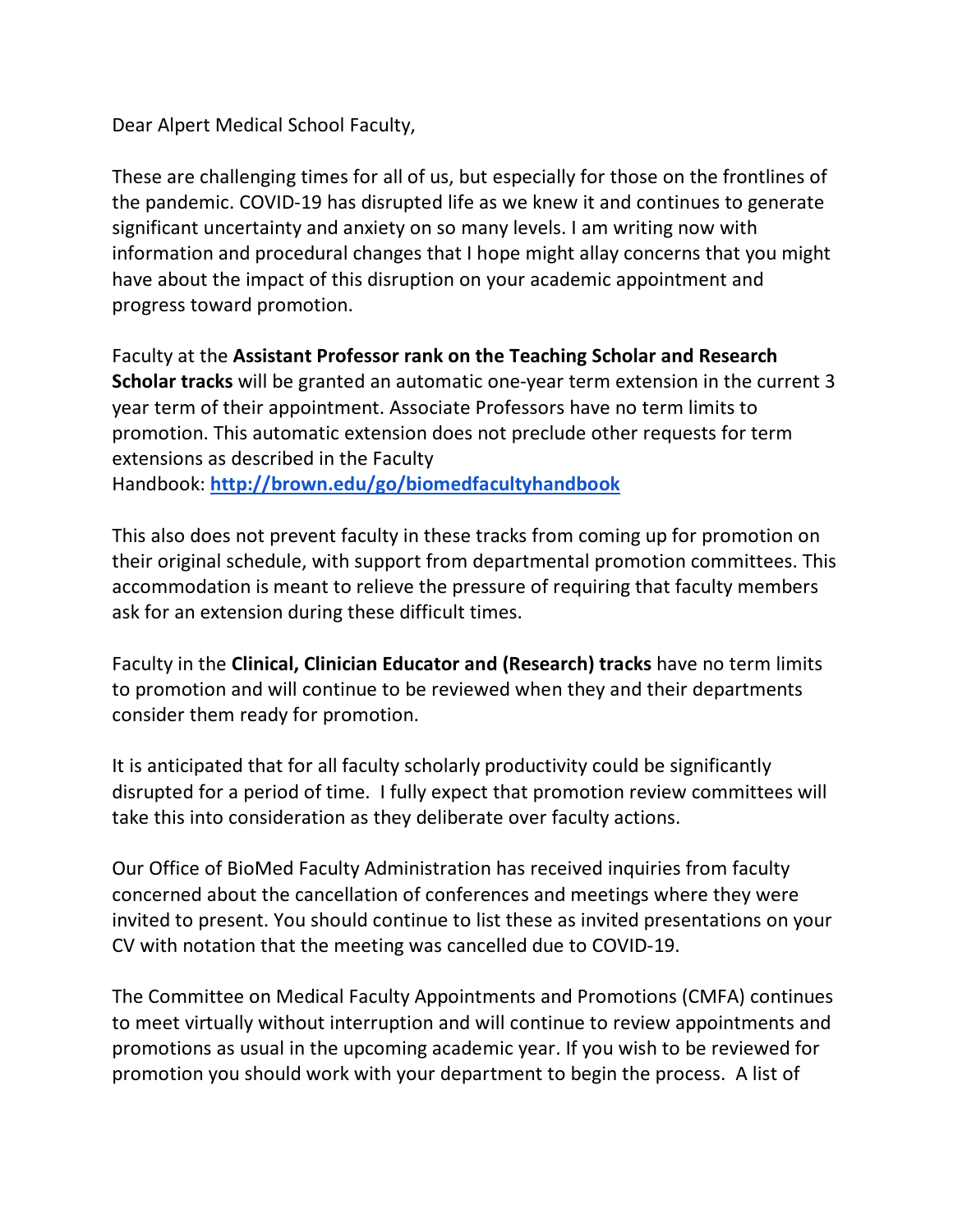Dear Alpert Medical School Faculty,

These are challenging times for all of us, but especially for those on the frontlines of the pandemic. COVID-19 has disrupted life as we knew it and continues to generate significant uncertainty and anxiety on so many levels. I am writing now with information and procedural changes that I hope might allay concerns that you might have about the impact of this disruption on your academic appointment and progress toward promotion.

Faculty at the **Assistant Professor rank on the Teaching Scholar and Research Scholar tracks** will be granted an automatic one-year term extension in the current 3 year term of their appointment. Associate Professors have no term limits to promotion. This automatic extension does not preclude other requests for term extensions as described in the Faculty Handbook: **http://brown.edu/go/biomedfacultyhandbook**

This also does not prevent faculty in these tracks from coming up for promotion on their original schedule, with support from departmental promotion committees. This accommodation is meant to relieve the pressure of requiring that faculty members ask for an extension during these difficult times.

Faculty in the **Clinical, Clinician Educator and (Research) tracks** have no term limits to promotion and will continue to be reviewed when they and their departments consider them ready for promotion.

It is anticipated that for all faculty scholarly productivity could be significantly disrupted for a period of time. I fully expect that promotion review committees will take this into consideration as they deliberate over faculty actions.

Our Office of BioMed Faculty Administration has received inquiries from faculty concerned about the cancellation of conferences and meetings where they were invited to present. You should continue to list these as invited presentations on your CV with notation that the meeting was cancelled due to COVID-19.

The Committee on Medical Faculty Appointments and Promotions (CMFA) continues to meet virtually without interruption and will continue to review appointments and promotions as usual in the upcoming academic year. If you wish to be reviewed for promotion you should work with your department to begin the process. A list of